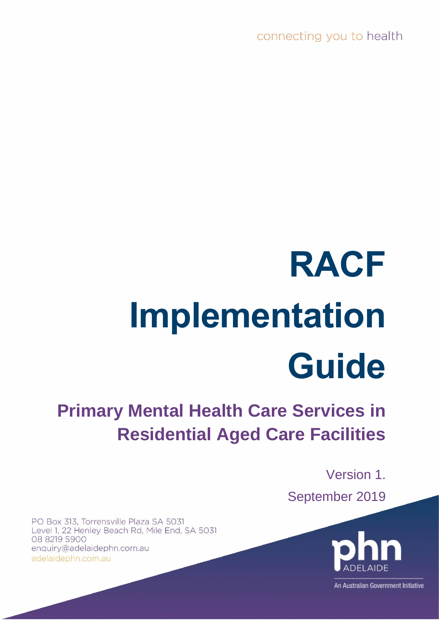connecting you to health

# **RACF Implementation Guide**

# **Primary Mental Health Care Services in Residential Aged Care Facilities**

Version 1. September 2019

PO Box 313, Torrensville Plaza SA 5031 Level 1, 22 Henley Beach Rd, Mile End, SA 5031 08 8219 5900 enquiry@adelaidephn.com.au adelaidephn.com.au



An Australian Government Initiative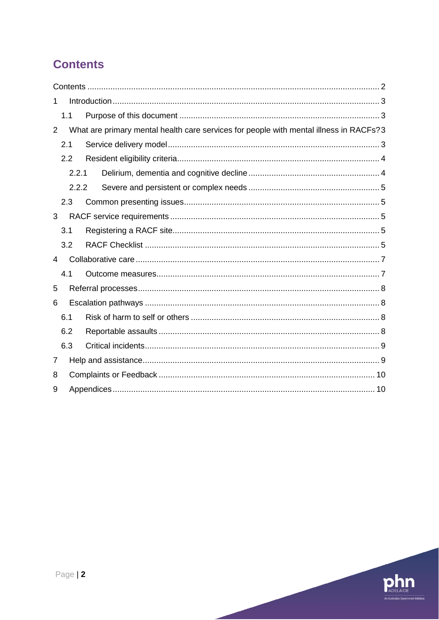# <span id="page-1-0"></span>**Contents**

| 1 |     |       |                                                                                        |  |
|---|-----|-------|----------------------------------------------------------------------------------------|--|
|   | 1.1 |       |                                                                                        |  |
| 2 |     |       | What are primary mental health care services for people with mental illness in RACFs?3 |  |
|   | 2.1 |       |                                                                                        |  |
|   | 2.2 |       |                                                                                        |  |
|   |     | 2.2.1 |                                                                                        |  |
|   |     | 2.2.2 |                                                                                        |  |
|   | 2.3 |       |                                                                                        |  |
| 3 |     |       |                                                                                        |  |
|   | 3.1 |       |                                                                                        |  |
|   | 3.2 |       |                                                                                        |  |
| 4 |     |       |                                                                                        |  |
|   | 4.1 |       |                                                                                        |  |
| 5 |     |       |                                                                                        |  |
| 6 |     |       |                                                                                        |  |
|   | 6.1 |       |                                                                                        |  |
|   | 6.2 |       |                                                                                        |  |
|   | 6.3 |       |                                                                                        |  |
| 7 |     |       |                                                                                        |  |
| 8 |     |       |                                                                                        |  |
| 9 |     |       |                                                                                        |  |

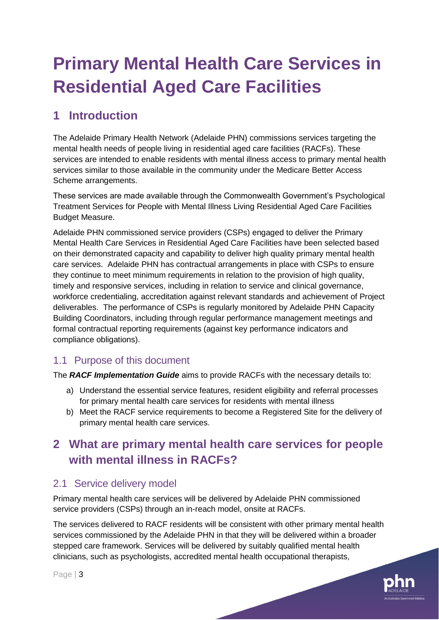# **Primary Mental Health Care Services in Residential Aged Care Facilities**

# <span id="page-2-0"></span>**1 Introduction**

The Adelaide Primary Health Network (Adelaide PHN) commissions services targeting the mental health needs of people living in residential aged care facilities (RACFs). These services are intended to enable residents with mental illness access to primary mental health services similar to those available in the community under the Medicare Better Access Scheme arrangements.

These services are made available through the Commonwealth Government's Psychological Treatment Services for People with Mental Illness Living Residential Aged Care Facilities Budget Measure.

Adelaide PHN commissioned service providers (CSPs) engaged to deliver the Primary Mental Health Care Services in Residential Aged Care Facilities have been selected based on their demonstrated capacity and capability to deliver high quality primary mental health care services. Adelaide PHN has contractual arrangements in place with CSPs to ensure they continue to meet minimum requirements in relation to the provision of high quality, timely and responsive services, including in relation to service and clinical governance, workforce credentialing, accreditation against relevant standards and achievement of Project deliverables. The performance of CSPs is regularly monitored by Adelaide PHN Capacity Building Coordinators, including through regular performance management meetings and formal contractual reporting requirements (against key performance indicators and compliance obligations).

# <span id="page-2-1"></span>1.1 Purpose of this document

The *RACF Implementation Guide* aims to provide RACFs with the necessary details to:

- a) Understand the essential service features, resident eligibility and referral processes for primary mental health care services for residents with mental illness
- b) Meet the RACF service requirements to become a Registered Site for the delivery of primary mental health care services.

# <span id="page-2-2"></span>**2 What are primary mental health care services for people with mental illness in RACFs?**

# <span id="page-2-3"></span>2.1 Service delivery model

Primary mental health care services will be delivered by Adelaide PHN commissioned service providers (CSPs) through an in-reach model, onsite at RACFs.

The services delivered to RACF residents will be consistent with other primary mental health services commissioned by the Adelaide PHN in that they will be delivered within a broader stepped care framework. Services will be delivered by suitably qualified mental health clinicians, such as psychologists, accredited mental health occupational therapists,

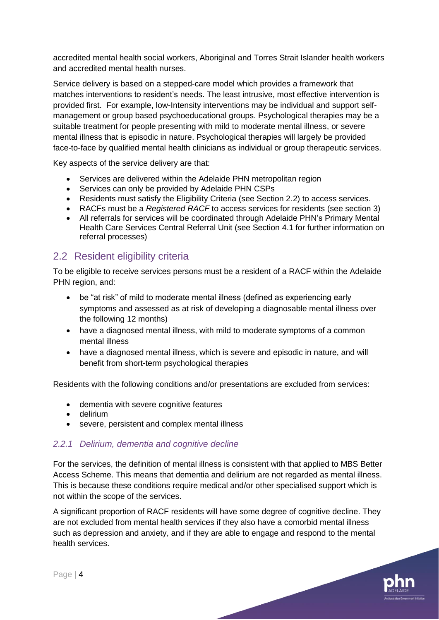accredited mental health social workers, Aboriginal and Torres Strait Islander health workers and accredited mental health nurses.

Service delivery is based on a stepped-care model which provides a framework that matches interventions to resident's needs. The least intrusive, most effective intervention is provided first. For example, low-Intensity interventions may be individual and support selfmanagement or group based psychoeducational groups. Psychological therapies may be a suitable treatment for people presenting with mild to moderate mental illness, or severe mental illness that is episodic in nature. Psychological therapies will largely be provided face-to-face by qualified mental health clinicians as individual or group therapeutic services.

Key aspects of the service delivery are that:

- Services are delivered within the Adelaide PHN metropolitan region
- Services can only be provided by Adelaide PHN CSPs
- Residents must satisfy the Eligibility Criteria (see Section 2.2) to access services.
- RACFs must be a *Registered RACF* to access services for residents (see section 3)
- All referrals for services will be coordinated through Adelaide PHN's Primary Mental Health Care Services Central Referral Unit (see Section 4.1 for further information on referral processes)

# <span id="page-3-0"></span>2.2 Resident eligibility criteria

To be eligible to receive services persons must be a resident of a RACF within the Adelaide PHN region, and:

- be "at risk" of mild to moderate mental illness (defined as experiencing early symptoms and assessed as at risk of developing a diagnosable mental illness over the following 12 months)
- have a diagnosed mental illness, with mild to moderate symptoms of a common mental illness
- have a diagnosed mental illness, which is severe and episodic in nature, and will benefit from short-term psychological therapies

Residents with the following conditions and/or presentations are excluded from services:

- dementia with severe cognitive features
- delirium
- severe, persistent and complex mental illness

# <span id="page-3-1"></span>*2.2.1 Delirium, dementia and cognitive decline*

For the services, the definition of mental illness is consistent with that applied to MBS Better Access Scheme. This means that dementia and delirium are not regarded as mental illness. This is because these conditions require medical and/or other specialised support which is not within the scope of the services.

A significant proportion of RACF residents will have some degree of cognitive decline. They are not excluded from mental health services if they also have a comorbid mental illness such as depression and anxiety, and if they are able to engage and respond to the mental health services.

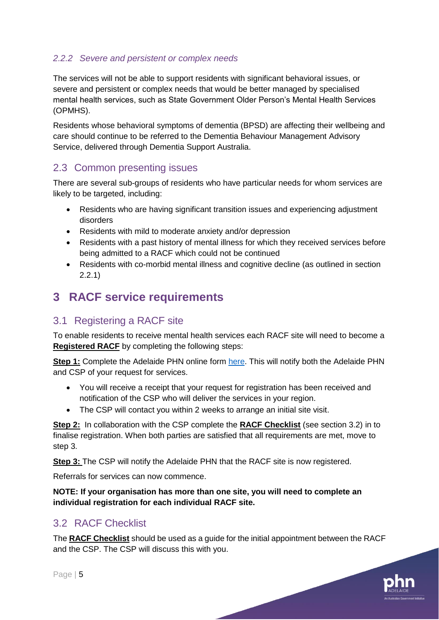# <span id="page-4-0"></span>*2.2.2 Severe and persistent or complex needs*

The services will not be able to support residents with significant behavioral issues, or severe and persistent or complex needs that would be better managed by specialised mental health services, such as State Government Older Person's Mental Health Services (OPMHS).

Residents whose behavioral symptoms of dementia (BPSD) are affecting their wellbeing and care should continue to be referred to the Dementia Behaviour Management Advisory Service, delivered through Dementia Support Australia.

# <span id="page-4-1"></span>2.3 Common presenting issues

There are several sub-groups of residents who have particular needs for whom services are likely to be targeted, including:

- Residents who are having significant transition issues and experiencing adjustment disorders
- Residents with mild to moderate anxiety and/or depression
- Residents with a past history of mental illness for which they received services before being admitted to a RACF which could not be continued
- Residents with co-morbid mental illness and cognitive decline (as outlined in section 2.2.1)

# <span id="page-4-2"></span>**3 RACF service requirements**

# <span id="page-4-3"></span>3.1 Registering a RACF site

To enable residents to receive mental health services each RACF site will need to become a **Registered RACF** by completing the following steps:

**Step 1:** Complete the Adelaide PHN online form [here.](http://adelaidephn.foliogrc.com/contracts/new?contract_template=100&token=dwTuip9bUHres6zd9m6h) This will notify both the Adelaide PHN and CSP of your request for services.

- You will receive a receipt that your request for registration has been received and notification of the CSP who will deliver the services in your region.
- The CSP will contact you within 2 weeks to arrange an initial site visit.

**Step 2:** In collaboration with the CSP complete the **RACF Checklist** (see section 3.2) in to finalise registration. When both parties are satisfied that all requirements are met, move to step 3.

**Step 3:** The CSP will notify the Adelaide PHN that the RACF site is now registered.

Referrals for services can now commence.

**NOTE: If your organisation has more than one site, you will need to complete an individual registration for each individual RACF site.**

# <span id="page-4-4"></span>3.2 RACF Checklist

The **RACF Checklist** should be used as a guide for the initial appointment between the RACF and the CSP. The CSP will discuss this with you.

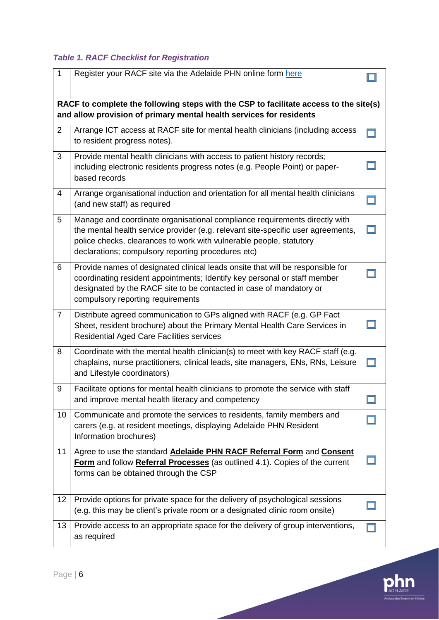# *Table 1. RACF Checklist for Registration*

| $\mathbf{1}$                                                                                                                                                 | Register your RACF site via the Adelaide PHN online form here                                                                                                                                                                                                                               |   |  |  |  |
|--------------------------------------------------------------------------------------------------------------------------------------------------------------|---------------------------------------------------------------------------------------------------------------------------------------------------------------------------------------------------------------------------------------------------------------------------------------------|---|--|--|--|
| RACF to complete the following steps with the CSP to facilitate access to the site(s)<br>and allow provision of primary mental health services for residents |                                                                                                                                                                                                                                                                                             |   |  |  |  |
| $\overline{2}$                                                                                                                                               | Arrange ICT access at RACF site for mental health clinicians (including access<br>to resident progress notes).                                                                                                                                                                              | m |  |  |  |
| 3                                                                                                                                                            | Provide mental health clinicians with access to patient history records;<br>including electronic residents progress notes (e.g. People Point) or paper-<br>based records                                                                                                                    |   |  |  |  |
| $\overline{4}$                                                                                                                                               | Arrange organisational induction and orientation for all mental health clinicians<br>(and new staff) as required                                                                                                                                                                            |   |  |  |  |
| 5                                                                                                                                                            | Manage and coordinate organisational compliance requirements directly with<br>the mental health service provider (e.g. relevant site-specific user agreements,<br>police checks, clearances to work with vulnerable people, statutory<br>declarations; compulsory reporting procedures etc) |   |  |  |  |
| 6                                                                                                                                                            | Provide names of designated clinical leads onsite that will be responsible for<br>coordinating resident appointments; Identify key personal or staff member<br>designated by the RACF site to be contacted in case of mandatory or<br>compulsory reporting requirements                     |   |  |  |  |
| $\overline{7}$                                                                                                                                               | Distribute agreed communication to GPs aligned with RACF (e.g. GP Fact<br>Sheet, resident brochure) about the Primary Mental Health Care Services in<br><b>Residential Aged Care Facilities services</b>                                                                                    |   |  |  |  |
| 8                                                                                                                                                            | Coordinate with the mental health clinician(s) to meet with key RACF staff (e.g.<br>chaplains, nurse practitioners, clinical leads, site managers, ENs, RNs, Leisure<br>and Lifestyle coordinators)                                                                                         |   |  |  |  |
| 9                                                                                                                                                            | Facilitate options for mental health clinicians to promote the service with staff<br>and improve mental health literacy and competency                                                                                                                                                      |   |  |  |  |
| 10                                                                                                                                                           | Communicate and promote the services to residents, family members and<br>carers (e.g. at resident meetings, displaying Adelaide PHN Resident<br>Information brochures)                                                                                                                      |   |  |  |  |
| 11                                                                                                                                                           | Agree to use the standard Adelaide PHN RACF Referral Form and Consent<br>Form and follow Referral Processes (as outlined 4.1). Copies of the current<br>forms can be obtained through the CSP                                                                                               |   |  |  |  |
| 12                                                                                                                                                           | Provide options for private space for the delivery of psychological sessions<br>(e.g. this may be client's private room or a designated clinic room onsite)                                                                                                                                 |   |  |  |  |
| 13                                                                                                                                                           | Provide access to an appropriate space for the delivery of group interventions,<br>as required                                                                                                                                                                                              |   |  |  |  |

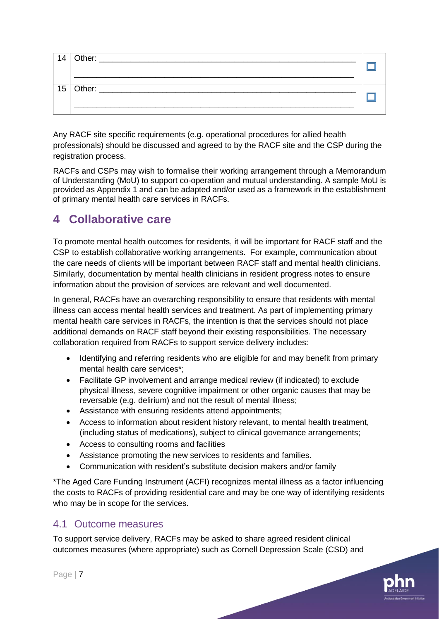| 14 | Other:<br><u> 1980 - Jan Berlin, margaret amerikan bestehen bestehen den bestehen aus dem Englischen Einstein der Englische</u> |  |
|----|---------------------------------------------------------------------------------------------------------------------------------|--|
|    |                                                                                                                                 |  |
|    |                                                                                                                                 |  |
|    | 15 Other: ____________________                                                                                                  |  |
|    |                                                                                                                                 |  |
|    |                                                                                                                                 |  |
|    |                                                                                                                                 |  |

Any RACF site specific requirements (e.g. operational procedures for allied health professionals) should be discussed and agreed to by the RACF site and the CSP during the registration process.

RACFs and CSPs may wish to formalise their working arrangement through a Memorandum of Understanding (MoU) to support co-operation and mutual understanding. A sample MoU is provided as Appendix 1 and can be adapted and/or used as a framework in the establishment of primary mental health care services in RACFs.

# <span id="page-6-0"></span>**4 Collaborative care**

To promote mental health outcomes for residents, it will be important for RACF staff and the CSP to establish collaborative working arrangements. For example, communication about the care needs of clients will be important between RACF staff and mental health clinicians. Similarly, documentation by mental health clinicians in resident progress notes to ensure information about the provision of services are relevant and well documented.

In general, RACFs have an overarching responsibility to ensure that residents with mental illness can access mental health services and treatment. As part of implementing primary mental health care services in RACFs, the intention is that the services should not place additional demands on RACF staff beyond their existing responsibilities. The necessary collaboration required from RACFs to support service delivery includes:

- Identifying and referring residents who are eligible for and may benefit from primary mental health care services\*;
- Facilitate GP involvement and arrange medical review (if indicated) to exclude physical illness, severe cognitive impairment or other organic causes that may be reversable (e.g. delirium) and not the result of mental illness;
- Assistance with ensuring residents attend appointments;
- Access to information about resident history relevant, to mental health treatment, (including status of medications), subject to clinical governance arrangements;
- Access to consulting rooms and facilities
- Assistance promoting the new services to residents and families.
- Communication with resident's substitute decision makers and/or family

\*The Aged Care Funding Instrument (ACFI) recognizes mental illness as a factor influencing the costs to RACFs of providing residential care and may be one way of identifying residents who may be in scope for the services.

# <span id="page-6-1"></span>4.1 Outcome measures

To support service delivery, RACFs may be asked to share agreed resident clinical outcomes measures (where appropriate) such as Cornell Depression Scale (CSD) and

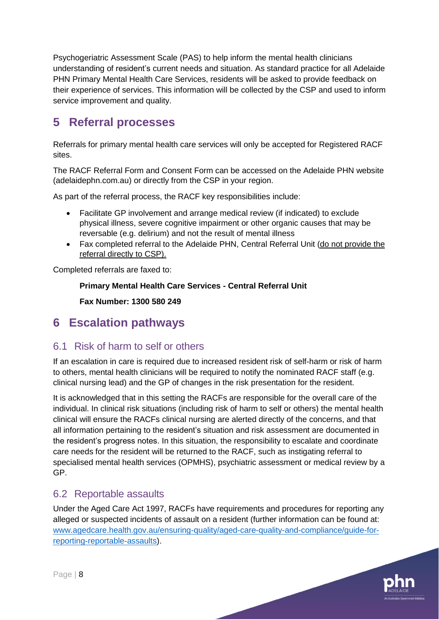Psychogeriatric Assessment Scale (PAS) to help inform the mental health clinicians understanding of resident's current needs and situation. As standard practice for all Adelaide PHN Primary Mental Health Care Services, residents will be asked to provide feedback on their experience of services. This information will be collected by the CSP and used to inform service improvement and quality.

# <span id="page-7-0"></span>**5 Referral processes**

Referrals for primary mental health care services will only be accepted for Registered RACF sites.

The RACF Referral Form and Consent Form can be accessed on the Adelaide PHN website (adelaidephn.com.au) or directly from the CSP in your region.

As part of the referral process, the RACF key responsibilities include:

- Facilitate GP involvement and arrange medical review (if indicated) to exclude physical illness, severe cognitive impairment or other organic causes that may be reversable (e.g. delirium) and not the result of mental illness
- Fax completed referral to the Adelaide PHN, Central Referral Unit (do not provide the referral directly to CSP).

Completed referrals are faxed to:

# **Primary Mental Health Care Services - Central Referral Unit**

**Fax Number: 1300 580 249**

# <span id="page-7-1"></span>**6 Escalation pathways**

# <span id="page-7-2"></span>6.1 Risk of harm to self or others

If an escalation in care is required due to increased resident risk of self-harm or risk of harm to others, mental health clinicians will be required to notify the nominated RACF staff (e.g. clinical nursing lead) and the GP of changes in the risk presentation for the resident.

It is acknowledged that in this setting the RACFs are responsible for the overall care of the individual. In clinical risk situations (including risk of harm to self or others) the mental health clinical will ensure the RACFs clinical nursing are alerted directly of the concerns, and that all information pertaining to the resident's situation and risk assessment are documented in the resident's progress notes. In this situation, the responsibility to escalate and coordinate care needs for the resident will be returned to the RACF, such as instigating referral to specialised mental health services (OPMHS), psychiatric assessment or medical review by a GP.

# <span id="page-7-3"></span>6.2 Reportable assaults

Under the Aged Care Act 1997, RACFs have requirements and procedures for reporting any alleged or suspected incidents of assault on a resident (further information can be found at: [www.agedcare.health.gov.au/ensuring-quality/aged-care-quality-and-compliance/guide-for](http://www.agedcare.health.gov.au/ensuring-quality/aged-care-quality-and-compliance/guide-for-reporting-reportable-assaults)[reporting-reportable-assaults\)](http://www.agedcare.health.gov.au/ensuring-quality/aged-care-quality-and-compliance/guide-for-reporting-reportable-assaults).

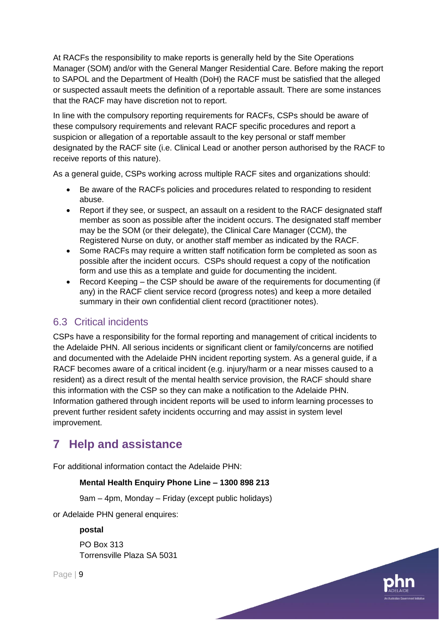At RACFs the responsibility to make reports is generally held by the Site Operations Manager (SOM) and/or with the General Manger Residential Care. Before making the report to SAPOL and the Department of Health (DoH) the RACF must be satisfied that the alleged or suspected assault meets the definition of a reportable assault. There are some instances that the RACF may have discretion not to report.

In line with the compulsory reporting requirements for RACFs, CSPs should be aware of these compulsory requirements and relevant RACF specific procedures and report a suspicion or allegation of a reportable assault to the key personal or staff member designated by the RACF site (i.e. Clinical Lead or another person authorised by the RACF to receive reports of this nature).

As a general guide, CSPs working across multiple RACF sites and organizations should:

- Be aware of the RACFs policies and procedures related to responding to resident abuse.
- Report if they see, or suspect, an assault on a resident to the RACF designated staff member as soon as possible after the incident occurs. The designated staff member may be the SOM (or their delegate), the Clinical Care Manager (CCM), the Registered Nurse on duty, or another staff member as indicated by the RACF.
- Some RACFs may require a written staff notification form be completed as soon as possible after the incident occurs. CSPs should request a copy of the notification form and use this as a template and guide for documenting the incident.
- Record Keeping the CSP should be aware of the requirements for documenting (if any) in the RACF client service record (progress notes) and keep a more detailed summary in their own confidential client record (practitioner notes).

# <span id="page-8-0"></span>6.3 Critical incidents

CSPs have a responsibility for the formal reporting and management of critical incidents to the Adelaide PHN. All serious incidents or significant client or family/concerns are notified and documented with the Adelaide PHN incident reporting system. As a general guide, if a RACF becomes aware of a critical incident (e.g. injury/harm or a near misses caused to a resident) as a direct result of the mental health service provision, the RACF should share this information with the CSP so they can make a notification to the Adelaide PHN. Information gathered through incident reports will be used to inform learning processes to prevent further resident safety incidents occurring and may assist in system level improvement.

# <span id="page-8-1"></span>**7 Help and assistance**

For additional information contact the Adelaide PHN:

# **Mental Health Enquiry Phone Line – 1300 898 213**

9am – 4pm, Monday – Friday (except public holidays)

or Adelaide PHN general enquires:

**postal**

PO Box 313 Torrensville Plaza SA 5031

Page | 9

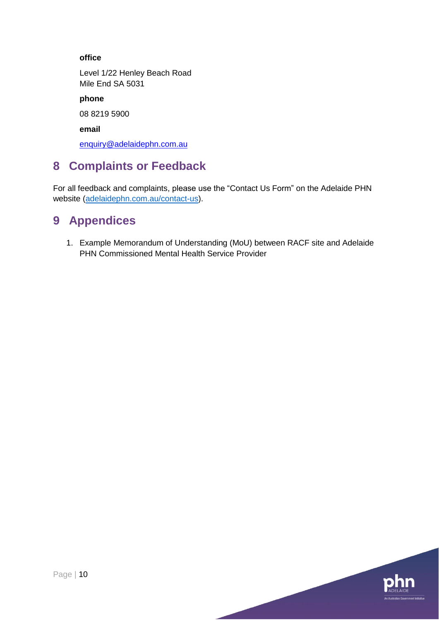# **office**

Level 1/22 Henley Beach Road Mile End SA 5031

**phone**

08 8219 5900

**email**

[enquiry@adelaidephn.com.au](mailto:enquiry@adelaidephn.com.au)

# <span id="page-9-0"></span>**8 Complaints or Feedback**

For all feedback and complaints, please use the "Contact Us Form" on the Adelaide PHN website [\(adelaidephn.com.au/contact-us\)](http://www.adelaidephn.com.au/contact-us).

# <span id="page-9-1"></span>**9 Appendices**

1. Example Memorandum of Understanding (MoU) between RACF site and Adelaide PHN Commissioned Mental Health Service Provider

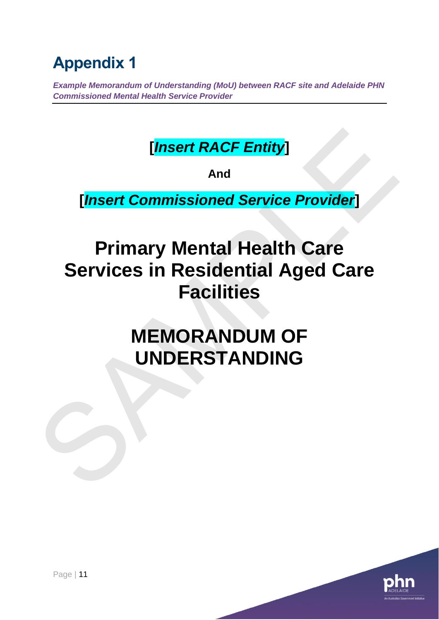# **Appendix 1**

*Example Memorandum of Understanding (MoU) between RACF site and Adelaide PHN Commissioned Mental Health Service Provider* 

# **[***Insert RACF Entity***]**

**And**

**[***Insert Commissioned Service Provider***]**

# **Primary Mental Health Care Services in Residential Aged Care Facilities** [*Insert RACF Entity*]<br>
A<sup>nd</sup><br> **Cancer Commissioned Service Provider**]<br>
Primary Mental Health Care<br>
Services in Residential Aged Care<br>
Facilities<br>
MEMORANDUM OF<br>
UNDERSTANDING

# **MEMORANDUM OF UNDERSTANDING**

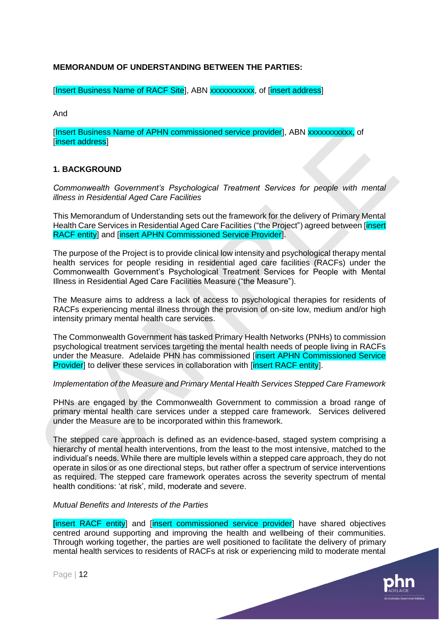### **MEMORANDUM OF UNDERSTANDING BETWEEN THE PARTIES:**

[Insert Business Name of RACF Site], ABN xxxxxxxxxxx, of [insert address]

And

[Insert Business Name of APHN commissioned service provider], ABN xxxxxxxxxxx, of [insert address]

#### **1. BACKGROUND**

*Commonwealth Government's Psychological Treatment Services for people with mental illness in Residential Aged Care Facilities* 

This Memorandum of Understanding sets out the framework for the delivery of Primary Mental Health Care Services in Residential Aged Care Facilities ("the Project") agreed between [insert RACF entity] and [insert APHN Commissioned Service Provider].

The purpose of the Project is to provide clinical low intensity and psychological therapy mental health services for people residing in residential aged care facilities (RACFs) under the Commonwealth Government's Psychological Treatment Services for People with Mental Illness in Residential Aged Care Facilities Measure ("the Measure").

The Measure aims to address a lack of access to psychological therapies for residents of RACFs experiencing mental illness through the provision of on-site low, medium and/or high intensity primary mental health care services.

The Commonwealth Government has tasked Primary Health Networks (PNHs) to commission psychological treatment services targeting the mental health needs of people living in RACFs under the Measure. Adelaide PHN has commissioned [insert APHN Commissioned Service] Provider] to deliver these services in collaboration with [insert RACF entity].

#### *Implementation of the Measure and Primary Mental Health Services Stepped Care Framework*

PHNs are engaged by the Commonwealth Government to commission a broad range of primary mental health care services under a stepped care framework. Services delivered under the Measure are to be incorporated within this framework.

The stepped care approach is defined as an evidence-based, staged system comprising a hierarchy of mental health interventions, from the least to the most intensive, matched to the individual's needs. While there are multiple levels within a stepped care approach, they do not operate in silos or as one directional steps, but rather offer a spectrum of service interventions as required. The stepped care framework operates across the severity spectrum of mental health conditions: 'at risk', mild, moderate and severe. These **Business Name of APHN commissioned service provider)**, ABN **xxxxxxxxxxxxx** (d<br>
internal didness)<br>
1. BACKGROUND<br>
Commonwealth Government's Psychological Treatment' Services for people with mental<br>
dimess in Resident

#### *Mutual Benefits and Interests of the Parties*

[insert RACF entity] and [insert commissioned service provider] have shared objectives centred around supporting and improving the health and wellbeing of their communities. Through working together, the parties are well positioned to facilitate the delivery of primary mental health services to residents of RACFs at risk or experiencing mild to moderate mental

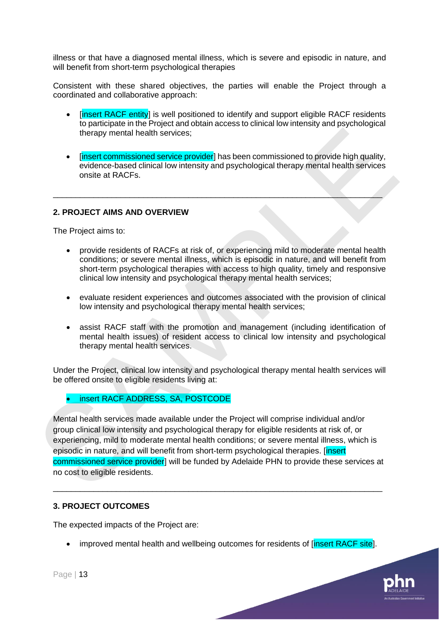illness or that have a diagnosed mental illness, which is severe and episodic in nature, and will benefit from short-term psychological therapies

Consistent with these shared objectives, the parties will enable the Project through a coordinated and collaborative approach:

- [insert RACF entity] is well positioned to identify and support eligible RACF residents to participate in the Project and obtain access to clinical low intensity and psychological therapy mental health services;
- [insert commissioned service provider] has been commissioned to provide high quality, evidence-based clinical low intensity and psychological therapy mental health services onsite at RACFs.

\_\_\_\_\_\_\_\_\_\_\_\_\_\_\_\_\_\_\_\_\_\_\_\_\_\_\_\_\_\_\_\_\_\_\_\_\_\_\_\_\_\_\_\_\_\_\_\_\_\_\_\_\_\_\_\_\_\_\_\_\_\_\_\_\_\_\_\_\_\_\_\_\_

### **2. PROJECT AIMS AND OVERVIEW**

The Project aims to:

- provide residents of RACFs at risk of, or experiencing mild to moderate mental health conditions; or severe mental illness, which is episodic in nature, and will benefit from short-term psychological therapies with access to high quality, timely and responsive clinical low intensity and psychological therapy mental health services;
- evaluate resident experiences and outcomes associated with the provision of clinical low intensity and psychological therapy mental health services;
- assist RACF staff with the promotion and management (including identification of mental health issues) of resident access to clinical low intensity and psychological therapy mental health services.

Under the Project, clinical low intensity and psychological therapy mental health services will be offered onsite to eligible residents living at:

• insert RACF ADDRESS, SA, POSTCODE

Mental health services made available under the Project will comprise individual and/or group clinical low intensity and psychological therapy for eligible residents at risk of, or experiencing, mild to moderate mental health conditions; or severe mental illness, which is episodic in nature, and will benefit from short-term psychological therapies. [insert commissioned service provider] will be funded by Adelaide PHN to provide these services at no cost to eligible residents. The transformation and the method of the provider is a properties of the provider in a provider in the set of the properties of RACFs and the set of the set of the set of the set of the set of the set of the set of the set

\_\_\_\_\_\_\_\_\_\_\_\_\_\_\_\_\_\_\_\_\_\_\_\_\_\_\_\_\_\_\_\_\_\_\_\_\_\_\_\_\_\_\_\_\_\_\_\_\_\_\_\_\_\_\_\_\_\_\_\_\_\_\_\_\_\_\_\_\_\_\_\_\_

#### **3. PROJECT OUTCOMES**

The expected impacts of the Project are:

• improved mental health and wellbeing outcomes for residents of linsert RACF sitel.

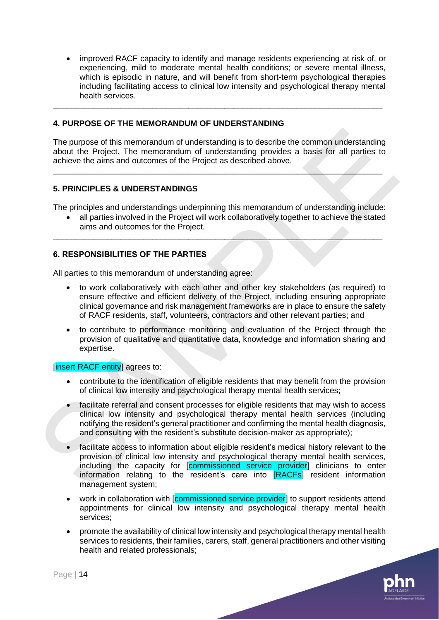• improved RACF capacity to identify and manage residents experiencing at risk of, or experiencing, mild to moderate mental health conditions; or severe mental illness, which is episodic in nature, and will benefit from short-term psychological therapies including facilitating access to clinical low intensity and psychological therapy mental health services.

### **4. PURPOSE OF THE MEMORANDUM OF UNDERSTANDING**

The purpose of this memorandum of understanding is to describe the common understanding about the Project. The memorandum of understanding provides a basis for all parties to achieve the aims and outcomes of the Project as described above.

\_\_\_\_\_\_\_\_\_\_\_\_\_\_\_\_\_\_\_\_\_\_\_\_\_\_\_\_\_\_\_\_\_\_\_\_\_\_\_\_\_\_\_\_\_\_\_\_\_\_\_\_\_\_\_\_\_\_\_\_\_\_\_\_\_\_\_\_\_\_\_\_\_

\_\_\_\_\_\_\_\_\_\_\_\_\_\_\_\_\_\_\_\_\_\_\_\_\_\_\_\_\_\_\_\_\_\_\_\_\_\_\_\_\_\_\_\_\_\_\_\_\_\_\_\_\_\_\_\_\_\_\_\_\_\_\_\_\_\_\_\_\_\_\_\_\_

#### **5. PRINCIPLES & UNDERSTANDINGS**

The principles and understandings underpinning this memorandum of understanding include:

\_\_\_\_\_\_\_\_\_\_\_\_\_\_\_\_\_\_\_\_\_\_\_\_\_\_\_\_\_\_\_\_\_\_\_\_\_\_\_\_\_\_\_\_\_\_\_\_\_\_\_\_\_\_\_\_\_\_\_\_\_\_\_\_\_\_\_\_\_\_\_\_\_

• all parties involved in the Project will work collaboratively together to achieve the stated aims and outcomes for the Project.

# **6. RESPONSIBILITIES OF THE PARTIES**

All parties to this memorandum of understanding agree:

- to work collaboratively with each other and other key stakeholders (as required) to ensure effective and efficient delivery of the Project, including ensuring appropriate clinical governance and risk management frameworks are in place to ensure the safety of RACF residents, staff, volunteers, contractors and other relevant parties; and
- to contribute to performance monitoring and evaluation of the Project through the provision of qualitative and quantitative data, knowledge and information sharing and expertise.

#### [insert RACF entity] agrees to:

- contribute to the identification of eligible residents that may benefit from the provision of clinical low intensity and psychological therapy mental health services;
- facilitate referral and consent processes for eligible residents that may wish to access clinical low intensity and psychological therapy mental health services (including notifying the resident's general practitioner and confirming the mental health diagnosis, and consulting with the resident's substitute decision-maker as appropriate);
- facilitate access to information about eligible resident's medical history relevant to the provision of clinical low intensity and psychological therapy mental health services, including the capacity for **[commissioned service provider**] clinicians to enter information relating to the resident's care into [RACFs] resident information management system; The purpose of this memorandum of understanding is to describe the common understanding<br>about the Project. The memorandum of understanding provides a basis for all parties to<br>activieve the aims and outcomes of the Project
	- work in collaboration with [commissioned service provider] to support residents attend appointments for clinical low intensity and psychological therapy mental health services;
	- promote the availability of clinical low intensity and psychological therapy mental health services to residents, their families, carers, staff, general practitioners and other visiting health and related professionals;

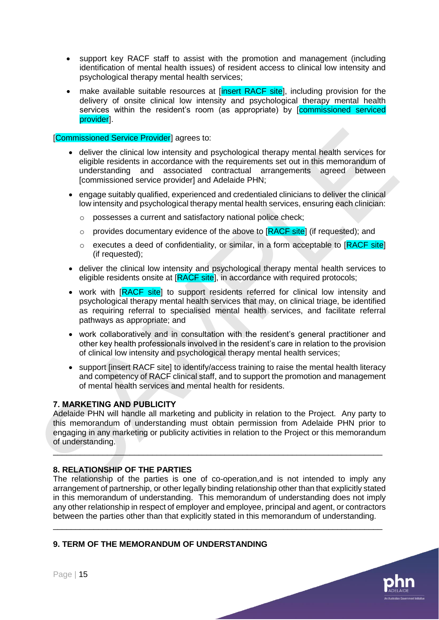- support key RACF staff to assist with the promotion and management (including identification of mental health issues) of resident access to clinical low intensity and psychological therapy mental health services;
- make available suitable resources at [insert RACF site], including provision for the delivery of onsite clinical low intensity and psychological therapy mental health services within the resident's room (as appropriate) by [commissioned serviced provider].

#### [Commissioned Service Provider] agrees to:

- deliver the clinical low intensity and psychological therapy mental health services for eligible residents in accordance with the requirements set out in this memorandum of understanding and associated contractual arrangements agreed between [commissioned service provider] and Adelaide PHN;
- engage suitably qualified, experienced and credentialed clinicians to deliver the clinical low intensity and psychological therapy mental health services, ensuring each clinician:
	- o possesses a current and satisfactory national police check;
	- $\circ$  provides documentary evidence of the above to [RACF site] (if requested); and
	- $\circ$  executes a deed of confidentiality, or similar, in a form acceptable to  $[RACF site]$ (if requested);
- deliver the clinical low intensity and psychological therapy mental health services to eligible residents onsite at [RACF site], in accordance with required protocols;
- work with [RACF site] to support residents referred for clinical low intensity and psychological therapy mental health services that may, on clinical triage, be identified as requiring referral to specialised mental health services, and facilitate referral pathways as appropriate; and
- work collaboratively and in consultation with the resident's general practitioner and other key health professionals involved in the resident's care in relation to the provision of clinical low intensity and psychological therapy mental health services;
- support linsert RACF sitel to identify/access training to raise the mental health literacy and competency of RACF clinical staff, and to support the promotion and management of mental health services and mental health for residents.

#### **7. MARKETING AND PUBLICITY**

Adelaide PHN will handle all marketing and publicity in relation to the Project. Any party to this memorandum of understanding must obtain permission from Adelaide PHN prior to engaging in any marketing or publicity activities in relation to the Project or this memorandum of understanding. **Commissioned Service Provider)** agrees to:<br>
• eligive residuation intensity and psychological therapy mental health services for<br>
eligible residents in accordance with the requirements as out in this memorandum of<br>
unders

\_\_\_\_\_\_\_\_\_\_\_\_\_\_\_\_\_\_\_\_\_\_\_\_\_\_\_\_\_\_\_\_\_\_\_\_\_\_\_\_\_\_\_\_\_\_\_\_\_\_\_\_\_\_\_\_\_\_\_\_\_\_\_\_\_\_\_\_\_\_\_\_\_

#### **8. RELATIONSHIP OF THE PARTIES**

The relationship of the parties is one of co-operation,and is not intended to imply any arrangement of partnership, or other legally binding relationship other than that explicitly stated in this memorandum of understanding. This memorandum of understanding does not imply any other relationship in respect of employer and employee, principal and agent, or contractors between the parties other than that explicitly stated in this memorandum of understanding.

\_\_\_\_\_\_\_\_\_\_\_\_\_\_\_\_\_\_\_\_\_\_\_\_\_\_\_\_\_\_\_\_\_\_\_\_\_\_\_\_\_\_\_\_\_\_\_\_\_\_\_\_\_\_\_\_\_\_\_\_\_\_\_\_\_\_\_\_\_\_\_\_\_

#### **9. TERM OF THE MEMORANDUM OF UNDERSTANDING**